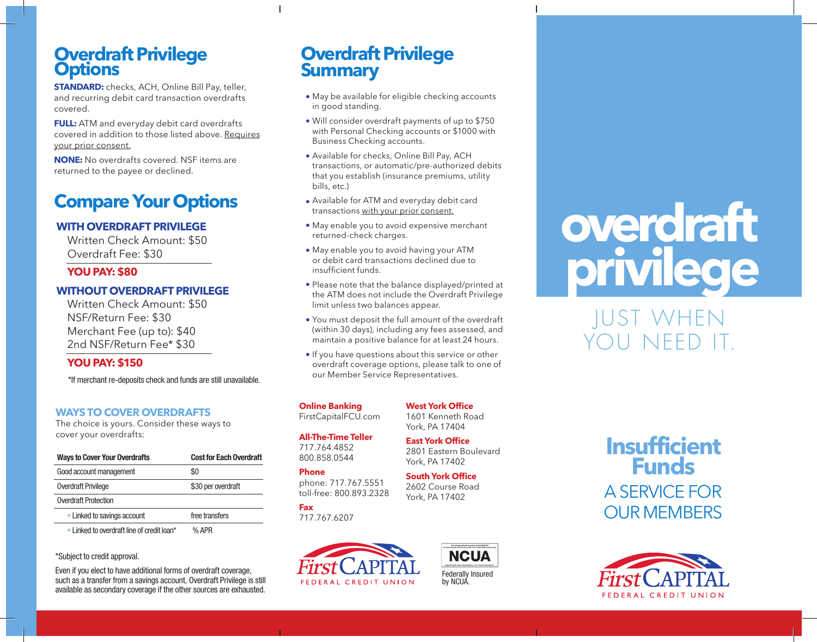## **Overdraft Privilege Options**

**STANDARD:** checks, ACH, Online Bill Pay, teller, and recurring debit card transaction overdrafts covered.

**FULL:** ATM and everyday debit card overdrafts covered in addition to those listed above. Requires your prior consent.

**NONE:** No overdrafts covered. NSF items are returned to the payee or declined.

# **Compare Your Options**

### **WITH OVERDRAFT PRIVILEGE**

Written Check Amount: \$50 Overdraft Fee: \$30

#### **YOU PAY: \$80**

#### **WITHOUT OVERDRAFT PRIVILEGE**

Written Check Amount: \$50 NSF/Return Fee: \$30 Merchant Fee (up to): \$40 2nd NSF/Return Fee\* \$30

#### **YOU PAY: \$150**

\*If merchant re-deposits check and funds are still unavailable.

#### **WAYS TO COVER OVERDRAFTS**

The choice is yours. Consider these ways to cover your overdrafts:

| <b>Ways to Cover Your Overdrafts</b>       | <b>Cost for Each Overdraft</b> |
|--------------------------------------------|--------------------------------|
| Good account management                    | SO.                            |
| Overdraft Privilege                        | \$30 per overdraft             |
| <b>Overdraft Protection</b>                |                                |
| • Linked to savings account                | free transfers                 |
| • Linked to overdraft line of credit loan* | $%$ APR                        |

#### \*Subject to credit approval.

Even if you elect to have additional forms of overdraft coverage, such as a transfer from a savings account, Overdraft Privilege is still available as secondary coverage if the other sources are exhausted.

# **Overdraft Privilege Summary**

 $\overline{1}$ 

- May be available for eligible checking accounts in good standing.
- Will consider overdraft payments of up to \$750 with Personal Checking accounts or \$1000 with Business Checking accounts.
- Available for checks, Online Bill Pay, ACH transactions, or automatic/pre-authorized debits that you establish (insurance premiums, utility bills, etc.)
- Available for ATM and everyday debit card transactions with your prior consent.
- May enable you to avoid expensive merchant returned-check charges.
- May enable you to avoid having your ATM or debit card transactions declined due to insufficient funds.
- Please note that the balance displayed/printed at the ATM does not include the Overdraft Privilege limit unless two balances appear.
- You must deposit the full amount of the overdraft (within 30 days), including any fees assessed, and maintain a positive balance for at least 24 hours.
- If you have questions about this service or other overdraft coverage options, please talk to one of our Member Service Representatives.

**Online Banking** FirstCapitalFCU.com

**All-The-Time Teller** 717.764.4852 800.858.0544

#### **Phone**

phone: 717.767.5551 toll-free: 800.893.2328

**Fax** 717.767.6207





# **overdraft privilege**

JUST WHEN YOU NEED IT.





**East York Office** 2801 Eastern Boulevard York, PA 17402

**South York Office** 2602 Course Road York, PA 17402

**West York Office** 1601 Kenneth Road York, PA 17404